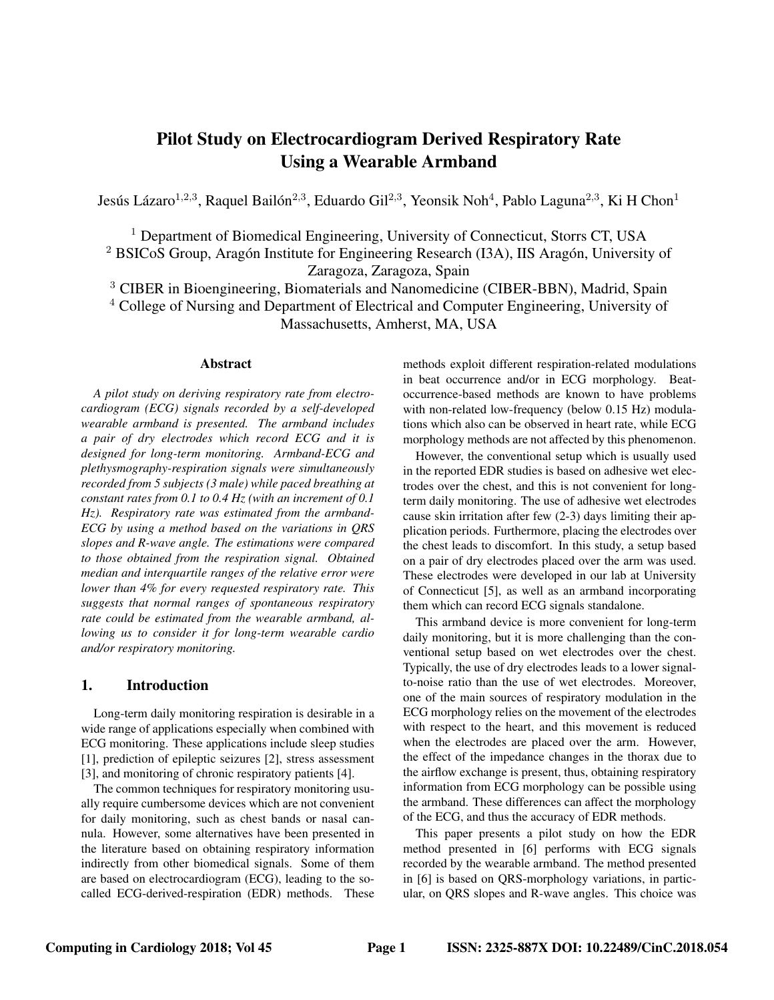# **Pilot Study on Electrocardiogram Derived Respiratory Rate Using a Wearable Armband**

Jesús Lázaro $^{1,2,3}$ , Raquel Bailón $^{2,3}$ , Eduardo Gil $^{2,3}$ , Yeonsik Noh $^4$ , Pablo Laguna $^{2,3}$ , Ki H Chon $^1$ 

<sup>1</sup> Department of Biomedical Engineering, University of Connecticut, Storrs CT, USA

 $2$  BSICoS Group, Aragón Institute for Engineering Research (I3A), IIS Aragón, University of

Zaragoza, Zaragoza, Spain

<sup>3</sup> CIBER in Bioengineering, Biomaterials and Nanomedicine (CIBER-BBN), Madrid, Spain <sup>4</sup> College of Nursing and Department of Electrical and Computer Engineering, University of Massachusetts, Amherst, MA, USA

# **Abstract**

*A pilot study on deriving respiratory rate from electrocardiogram (ECG) signals recorded by a self-developed wearable armband is presented. The armband includes a pair of dry electrodes which record ECG and it is designed for long-term monitoring. Armband-ECG and plethysmography-respiration signals were simultaneously recorded from 5 subjects (3 male) while paced breathing at constant rates from 0.1 to 0.4 Hz (with an increment of 0.1 Hz). Respiratory rate was estimated from the armband-ECG by using a method based on the variations in QRS slopes and R-wave angle. The estimations were compared to those obtained from the respiration signal. Obtained median and interquartile ranges of the relative error were lower than 4% for every requested respiratory rate. This suggests that normal ranges of spontaneous respiratory rate could be estimated from the wearable armband, allowing us to consider it for long-term wearable cardio and/or respiratory monitoring.*

# **1. Introduction**

Long-term daily monitoring respiration is desirable in a wide range of applications especially when combined with ECG monitoring. These applications include sleep studies [1], prediction of epileptic seizures [2], stress assessment [3], and monitoring of chronic respiratory patients [4].

The common techniques for respiratory monitoring usually require cumbersome devices which are not convenient for daily monitoring, such as chest bands or nasal cannula. However, some alternatives have been presented in the literature based on obtaining respiratory information indirectly from other biomedical signals. Some of them are based on electrocardiogram (ECG), leading to the socalled ECG-derived-respiration (EDR) methods. These methods exploit different respiration-related modulations in beat occurrence and/or in ECG morphology. Beatoccurrence-based methods are known to have problems with non-related low-frequency (below 0.15 Hz) modulations which also can be observed in heart rate, while ECG morphology methods are not affected by this phenomenon.

However, the conventional setup which is usually used in the reported EDR studies is based on adhesive wet electrodes over the chest, and this is not convenient for longterm daily monitoring. The use of adhesive wet electrodes cause skin irritation after few (2-3) days limiting their application periods. Furthermore, placing the electrodes over the chest leads to discomfort. In this study, a setup based on a pair of dry electrodes placed over the arm was used. These electrodes were developed in our lab at University of Connecticut [5], as well as an armband incorporating them which can record ECG signals standalone.

This armband device is more convenient for long-term daily monitoring, but it is more challenging than the conventional setup based on wet electrodes over the chest. Typically, the use of dry electrodes leads to a lower signalto-noise ratio than the use of wet electrodes. Moreover, one of the main sources of respiratory modulation in the ECG morphology relies on the movement of the electrodes with respect to the heart, and this movement is reduced when the electrodes are placed over the arm. However, the effect of the impedance changes in the thorax due to the airflow exchange is present, thus, obtaining respiratory information from ECG morphology can be possible using the armband. These differences can affect the morphology of the ECG, and thus the accuracy of EDR methods.

This paper presents a pilot study on how the EDR method presented in [6] performs with ECG signals recorded by the wearable armband. The method presented in [6] is based on QRS-morphology variations, in particular, on QRS slopes and R-wave angles. This choice was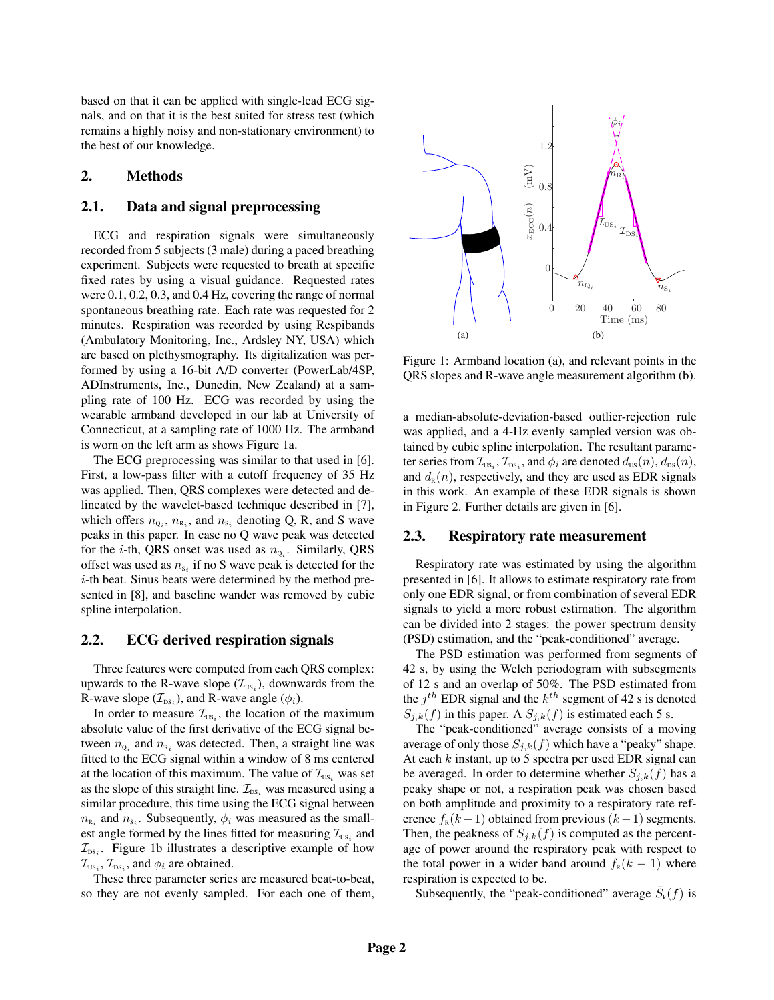based on that it can be applied with single-lead ECG signals, and on that it is the best suited for stress test (which remains a highly noisy and non-stationary environment) to the best of our knowledge.

# **2. Methods**

### **2.1. Data and signal preprocessing**

ECG and respiration signals were simultaneously recorded from 5 subjects (3 male) during a paced breathing experiment. Subjects were requested to breath at specific fixed rates by using a visual guidance. Requested rates were 0.1, 0.2, 0.3, and 0.4 Hz, covering the range of normal spontaneous breathing rate. Each rate was requested for 2 minutes. Respiration was recorded by using Respibands (Ambulatory Monitoring, Inc., Ardsley NY, USA) which are based on plethysmography. Its digitalization was performed by using a 16-bit A/D converter (PowerLab/4SP, ADInstruments, Inc., Dunedin, New Zealand) at a sampling rate of 100 Hz. ECG was recorded by using the wearable armband developed in our lab at University of Connecticut, at a sampling rate of 1000 Hz. The armband is worn on the left arm as shows Figure 1a.

The ECG preprocessing was similar to that used in [6]. First, a low-pass filter with a cutoff frequency of 35 Hz was applied. Then, QRS complexes were detected and delineated by the wavelet-based technique described in [7], which offers  $n_{Q_i}$ ,  $n_{R_i}$ , and  $n_{S_i}$  denoting Q, R, and S wave peaks in this paper. In case no Q wave peak was detected for the *i*-th, QRS onset was used as  $n_{Q_i}$ . Similarly, QRS offset was used as  $n_{s_i}$  if no S wave peak is detected for the i-th beat. Sinus beats were determined by the method presented in [8], and baseline wander was removed by cubic spline interpolation.

# **2.2. ECG derived respiration signals**

Three features were computed from each QRS complex: upwards to the R-wave slope  $(\mathcal{I}_{\text{US}_i})$ , downwards from the R-wave slope  $(\mathcal{I}_{\text{DS}_i})$ , and R-wave angle  $(\phi_i)$ .

In order to measure  $\mathcal{I}_{\text{US}_i}$ , the location of the maximum absolute value of the first derivative of the ECG signal between  $n_{\mathbf{Q}_i}$  and  $n_{\mathbf{R}_i}$  was detected. Then, a straight line was fitted to the ECG signal within a window of 8 ms centered at the location of this maximum. The value of  $\mathcal{I}_{\text{US}_i}$  was set as the slope of this straight line.  $\mathcal{I}_{\text{DS}_i}$  was measured using a similar procedure, this time using the ECG signal between  $n_{\text{R}_i}$  and  $n_{\text{S}_i}$ . Subsequently,  $\phi_i$  was measured as the smallest angle formed by the lines fitted for measuring  $\mathcal{I}_{\text{US}_i}$  and  $\mathcal{I}_{\text{DS}_i}$ . Figure 1b illustrates a descriptive example of how  $\mathcal{I}_{\text{US}_i}, \mathcal{I}_{\text{DS}_i}$ , and  $\phi_i$  are obtained.

These three parameter series are measured beat-to-beat, so they are not evenly sampled. For each one of them,



Figure 1: Armband location (a), and relevant points in the QRS slopes and R-wave angle measurement algorithm (b).

a median-absolute-deviation-based outlier-rejection rule was applied, and a 4-Hz evenly sampled version was obtained by cubic spline interpolation. The resultant parameter series from  $\mathcal{I}_{\text{\tiny US}_i}, \mathcal{I}_{\text{\tiny DS}_i}$ , and  $\phi_i$  are denoted  $d_{\text{\tiny US}}(n), d_{\text{\tiny DS}}(n)$ , and  $d_{R}(n)$ , respectively, and they are used as EDR signals in this work. An example of these EDR signals is shown in Figure 2. Further details are given in [6].

#### **2.3. Respiratory rate measurement**

Respiratory rate was estimated by using the algorithm presented in [6]. It allows to estimate respiratory rate from only one EDR signal, or from combination of several EDR signals to yield a more robust estimation. The algorithm can be divided into 2 stages: the power spectrum density (PSD) estimation, and the "peak-conditioned" average.

The PSD estimation was performed from segments of 42 s, by using the Welch periodogram with subsegments of 12 s and an overlap of 50%. The PSD estimated from the  $j^{th}$  EDR signal and the  $k^{th}$  segment of 42 s is denoted  $S_{j,k}(f)$  in this paper. A  $S_{j,k}(f)$  is estimated each 5 s.

The "peak-conditioned" average consists of a moving average of only those  $S_{j,k}(f)$  which have a "peaky" shape. At each  $k$  instant, up to 5 spectra per used EDR signal can be averaged. In order to determine whether  $S_{i,k}(f)$  has a peaky shape or not, a respiration peak was chosen based on both amplitude and proximity to a respiratory rate reference  $f_R(k-1)$  obtained from previous  $(k-1)$  segments. Then, the peakness of  $S_{j,k}(f)$  is computed as the percentage of power around the respiratory peak with respect to the total power in a wider band around  $f_R(k-1)$  where respiration is expected to be.

Subsequently, the "peak-conditioned" average  $\bar{S}_k(f)$  is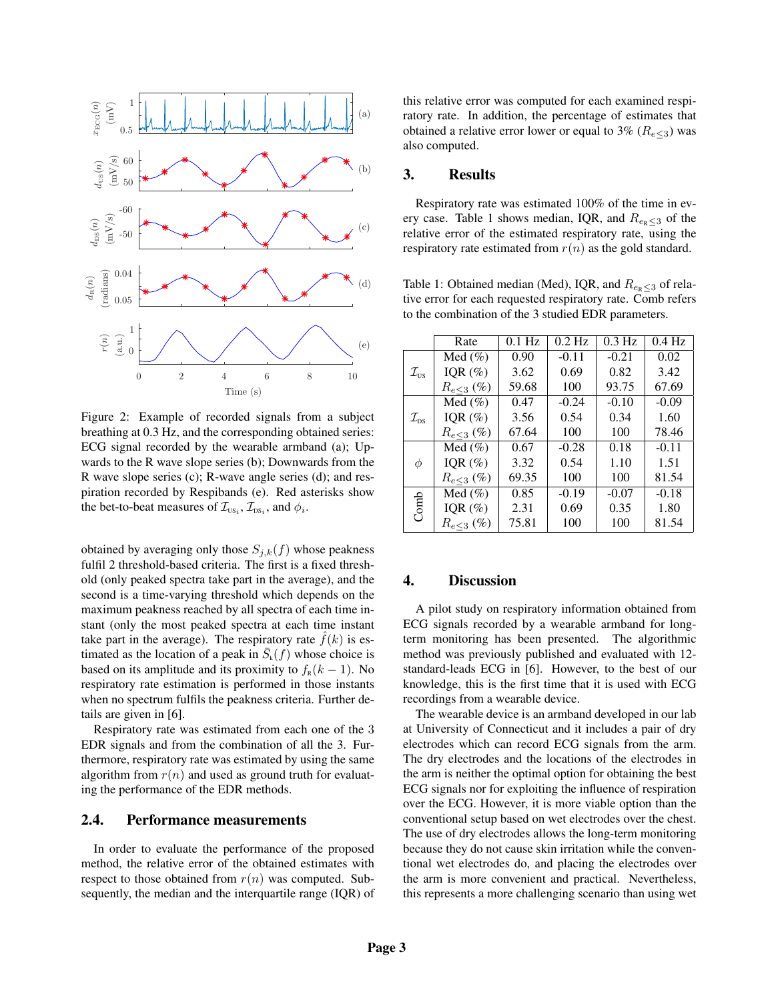

Figure 2: Example of recorded signals from a subject breathing at 0.3 Hz, and the corresponding obtained series: ECG signal recorded by the wearable armband (a); Upwards to the R wave slope series (b); Downwards from the R wave slope series (c); R-wave angle series (d); and respiration recorded by Respibands (e). Red asterisks show the bet-to-beat measures of  $\mathcal{I}_{\text{US}_i}$ ,  $\mathcal{I}_{\text{DS}_i}$ , and  $\phi_i$ .

obtained by averaging only those  $S_{j,k}(f)$  whose peakness fulfil 2 threshold-based criteria. The first is a fixed threshold (only peaked spectra take part in the average), and the second is a time-varying threshold which depends on the maximum peakness reached by all spectra of each time instant (only the most peaked spectra at each time instant take part in the average). The respiratory rate  $f(k)$  is estimated as the location of a peak in  $\bar{S}_k(f)$  whose choice is based on its amplitude and its proximity to  $f_R(k-1)$ . No respiratory rate estimation is performed in those instants when no spectrum fulfils the peakness criteria. Further details are given in [6].

Respiratory rate was estimated from each one of the 3 EDR signals and from the combination of all the 3. Furthermore, respiratory rate was estimated by using the same algorithm from  $r(n)$  and used as ground truth for evaluating the performance of the EDR methods.

# **2.4. Performance measurements**

In order to evaluate the performance of the proposed method, the relative error of the obtained estimates with respect to those obtained from  $r(n)$  was computed. Subsequently, the median and the interquartile range (IQR) of this relative error was computed for each examined respiratory rate. In addition, the percentage of estimates that obtained a relative error lower or equal to 3% ( $R_{e \leq 3}$ ) was also computed.

# **3. Results**

Respiratory rate was estimated 100% of the time in every case. Table 1 shows median, IQR, and  $R_{e_R \lt 3}$  of the relative error of the estimated respiratory rate, using the respiratory rate estimated from  $r(n)$  as the gold standard.

Table 1: Obtained median (Med), IQR, and  $R_{e_R \leq 3}$  of relative error for each requested respiratory rate. Comb refers to the combination of the 3 studied EDR parameters.

|                                       | Rate           | $0.1$ Hz | $0.2$ Hz | $0.3$ Hz | $\overline{0.4}$ Hz |
|---------------------------------------|----------------|----------|----------|----------|---------------------|
| $\mathcal{I}_{\textnormal{\tiny US}}$ | Med $(\% )$    | 0.90     | $-0.11$  | $-0.21$  | 0.02                |
|                                       | IQR $(\%)$     | 3.62     | 0.69     | 0.82     | 3.42                |
|                                       | $R_{e<3} (\%)$ | 59.68    | 100      | 93.75    | 67.69               |
| $\mathcal{I}_{\text{DS}}$             | Med $(\% )$    | 0.47     | $-0.24$  | $-0.10$  | $-0.09$             |
|                                       | IQR $(\%)$     | 3.56     | 0.54     | 0.34     | 1.60                |
|                                       | $R_{e<3}$ (%)  | 67.64    | 100      | 100      | 78.46               |
| φ                                     | Med $(\% )$    | 0.67     | $-0.28$  | 0.18     | $-0.11$             |
|                                       | IQR $(\%)$     | 3.32     | 0.54     | 1.10     | 1.51                |
|                                       | $R_{e<3} (\%)$ | 69.35    | 100      | 100      | 81.54               |
| Comb                                  | Med $(\% )$    | 0.85     | $-0.19$  | $-0.07$  | $-0.18$             |
|                                       | IQR $(\%)$     | 2.31     | 0.69     | 0.35     | 1.80                |
|                                       | $R_{e,3}$ (%)  | 75.81    | 100      | 100      | 81.54               |

#### **4. Discussion**

A pilot study on respiratory information obtained from ECG signals recorded by a wearable armband for longterm monitoring has been presented. The algorithmic method was previously published and evaluated with 12 standard-leads ECG in [6]. However, to the best of our knowledge, this is the first time that it is used with ECG recordings from a wearable device.

The wearable device is an armband developed in our lab at University of Connecticut and it includes a pair of dry electrodes which can record ECG signals from the arm. The dry electrodes and the locations of the electrodes in the arm is neither the optimal option for obtaining the best ECG signals nor for exploiting the influence of respiration over the ECG. However, it is more viable option than the conventional setup based on wet electrodes over the chest. The use of dry electrodes allows the long-term monitoring because they do not cause skin irritation while the conventional wet electrodes do, and placing the electrodes over the arm is more convenient and practical. Nevertheless, this represents a more challenging scenario than using wet